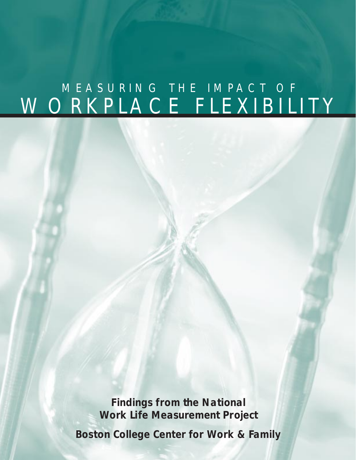## WORKPLACE FLEXIBILITY MEASURING THE IMPACT OF

**Findings from the National Work Life Measurement Project**

**Boston College Center for Work & Family**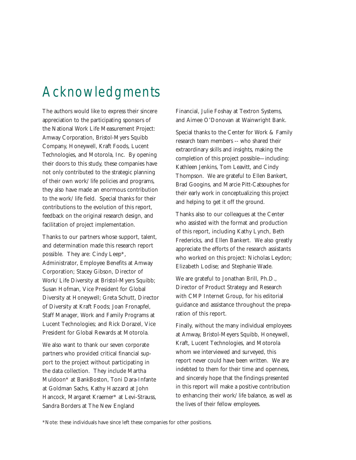### Acknowledgments

The authors would like to express their sincere appreciation to the participating sponsors of the National Work Life Measurement Project: Amway Corporation, Bristol-Myers Squibb Company, Honeywell, Kraft Foods, Lucent Technologies, and Motorola, Inc. By opening their doors to this study, these companies have not only contributed to the strategic planning of their own work/life policies and programs, they also have made an enormous contribution to the work/life field. Special thanks for their contributions to the evolution of this report, feedback on the original research design, and facilitation of project implementation.

Thanks to our partners whose support, talent, and determination made this research report possible. They are: Cindy Leep\*, Administrator, Employee Benefits at Amway Corporation; Stacey Gibson, Director of Work/Life Diversity at Bristol-Myers Squibb; Susan Hofman, Vice President for Global Diversity at Honeywell; Greta Schutt, Director of Diversity at Kraft Foods; Joan Fronapfel, Staff Manager, Work and Family Programs at Lucent Technologies; and Rick Dorazel, Vice President for Global Rewards at Motorola.

We also want to thank our seven corporate partners who provided critical financial support to the project without participating in the data collection. They include Martha Muldoon\* at BankBoston, Toni Dara-Infante at Goldman Sachs, Kathy Hazzard at John Hancock, Margaret Kraemer\* at Levi-Strauss, Sandra Borders at The New England

Financial, Julie Foshay at Textron Systems, and Aimee O'Donovan at Wainwright Bank.

Special thanks to the Center for Work & Family research team members -- who shared their extraordinary skills and insights, making the completion of this project possible—including: Kathleen Jenkins, Tom Leavitt, and Cindy Thompson. We are grateful to Ellen Bankert, Brad Googins, and Marcie Pitt-Catsouphes for their early work in conceptualizing this project and helping to get it off the ground.

Thanks also to our colleagues at the Center who assisted with the format and production of this report, including Kathy Lynch, Beth Fredericks, and Ellen Bankert. We also greatly appreciate the efforts of the research assistants who worked on this project: Nicholas Leydon; Elizabeth Lodise; and Stephanie Wade.

We are grateful to Jonathan Brill, Ph.D., Director of Product Strategy and Research with CMP Internet Group, for his editorial guidance and assistance throughout the preparation of this report.

Finally, without the many individual employees at Amway, Bristol-Meyers Squibb, Honeywell, Kraft, Lucent Technologies, and Motorola whom we interviewed and surveyed, this report never could have been written. We are indebted to them for their time and openness, and sincerely hope that the findings presented in this report will make a positive contribution to enhancing their work/life balance, as well as the lives of their fellow employees.

\*Note: these individuals have since left these companies for other positions.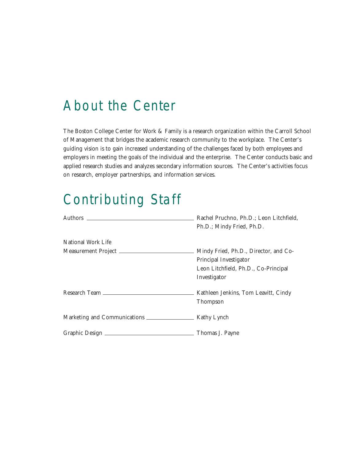### About the Center

The Boston College Center for Work & Family is a research organization within the Carroll School of Management that bridges the academic research community to the workplace. The Center's guiding vision is to gain increased understanding of the challenges faced by both employees and employers in meeting the goals of the individual and the enterprise. The Center conducts basic and applied research studies and analyzes secondary information sources. The Center's activities focus on research, employer partnerships, and information services.

## Contributing Staff

|                    | Rachel Pruchno, Ph.D.; Leon Litchfield,<br>Ph.D.; Mindy Fried, Ph.D.                                                    |
|--------------------|-------------------------------------------------------------------------------------------------------------------------|
| National Work Life |                                                                                                                         |
|                    | Mindy Fried, Ph.D., Director, and Co-<br>Principal Investigator<br>Leon Litchfield, Ph.D., Co-Principal<br>Investigator |
|                    | Kathleen Jenkins, Tom Leavitt, Cindy<br>Thompson                                                                        |
|                    |                                                                                                                         |
|                    | Thomas J. Payne                                                                                                         |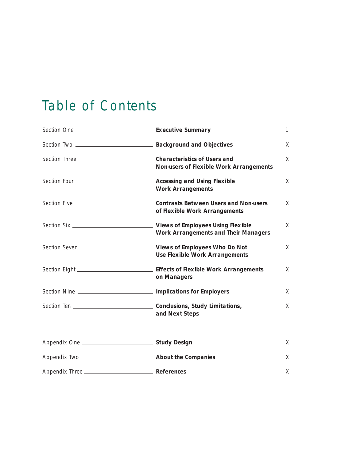## Table of Contents

|                                                                          | X |
|--------------------------------------------------------------------------|---|
| <b>Non-users of Flexible Work Arrangements</b>                           | X |
| <b>Work Arrangements</b>                                                 | X |
| of Flexible Work Arrangements                                            | X |
| <b>Work Arrangements and Their Managers</b>                              | X |
| <b>Use Flexible Work Arrangements</b>                                    | X |
| on Managers                                                              | X |
| Section Nine ________________________________ Implications for Employers | X |
| and Next Steps                                                           | X |
|                                                                          | X |
|                                                                          | X |
|                                                                          | X |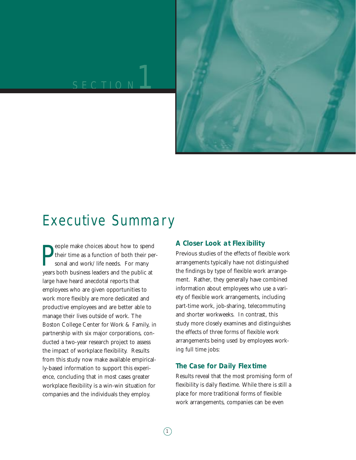# SECTION<sup>1</sup>



### Executive Summary

**P**eople make choices about how to spend<br>their time as a function of both their people sonal and work/life needs. For many<br>years both business leaders and the public at eople make choices about how to spend their time as a function of both their personal and work/life needs. For many large have heard anecdotal reports that employees who are given opportunities to work more flexibly are more dedicated and productive employees and are better able to manage their lives outside of work. The Boston College Center for Work & Family, in partnership with six major corporations, conducted a two-year research project to assess the impact of workplace flexibility. Results from this study now make available empirically-based information to support this experience, concluding that in most cases greater workplace flexibility is a win-win situation for companies and the individuals they employ.

#### **A Closer Look at Flexibility**

Previous studies of the effects of flexible work arrangements typically have not distinguished the findings by type of flexible work arrangement. Rather, they generally have combined information about employees who use a variety of flexible work arrangements, including part-time work, job-sharing, telecommuting and shorter workweeks. In contrast, this study more closely examines and distinguishes the effects of three forms of flexible work arrangements being used by employees working full time jobs:

#### **The Case for Daily Flextime**

Results reveal that the most promising form of flexibility is daily flextime. While there is still a place for more traditional forms of flexible work arrangements, companies can be even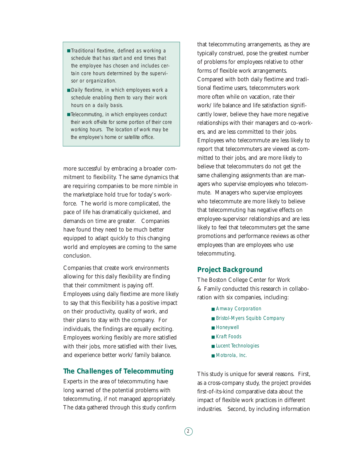- Traditional flextime, defined as working a schedule that has start and end times that the employee has chosen and includes certain core hours determined by the supervisor or organization.
- Daily flextime, in which employees work a schedule enabling them to vary their work hours on a daily basis.
- Telecommuting, in which employees conduct their work off-site for some portion of their core working hours. The location of work may be the employee's home or satellite office.

more successful by embracing a broader commitment to flexibility. The same dynamics that are requiring companies to be more nimble in the marketplace hold true for today's workforce. The world is more complicated, the pace of life has dramatically quickened, and demands on time are greater. Companies have found they need to be much better equipped to adapt quickly to this changing world and employees are coming to the same conclusion.

Companies that create work environments allowing for this daily flexibility are finding that their commitment is paying off. Employees using daily flextime are more likely to say that this flexibility has a positive impact on their productivity, quality of work, and their plans to stay with the company. For individuals, the findings are equally exciting. Employees working flexibly are more satisfied with their jobs, more satisfied with their lives, and experience better work/family balance.

#### **The Challenges of Telecommuting**

Experts in the area of telecommuting have long warned of the potential problems with telecommuting, if not managed appropriately. The data gathered through this study confirm that telecommuting arrangements, as they are typically construed, pose the greatest number of problems for employees relative to other forms of flexible work arrangements. Compared with both daily flextime and traditional flextime users, telecommuters work more often while on vacation, rate their work/life balance and life satisfaction significantly lower, believe they have more negative relationships with their managers and co-workers, and are less committed to their jobs. Employees who telecommute are less likely to report that telecommuters are viewed as committed to their jobs, and are more likely to believe that telecommuters do not get the same challenging assignments than are managers who supervise employees who telecommute. Managers who supervise employees who telecommute are more likely to believe that telecommuting has negative effects on employee-supervisor relationships and are less likely to feel that telecommuters get the same promotions and performance reviews as other employees than are employees who use telecommuting.

#### **Project Background**

The Boston College Center for Work & Family conducted this research in collaboration with six companies, including:

- Amway Corporation
- Bristol-Myers Squibb Company
- Honeywell
- Kraft Foods
- Lucent Technologies
- Motorola, Inc.

This study is unique for several reasons. First, as a cross-company study, the project provides first-of-its-kind comparative data about the impact of flexible work practices in different industries. Second, by including information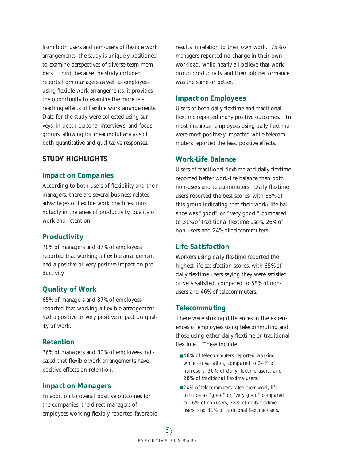from both users and non-users of flexible work arrangements, the study is uniquely positioned to examine perspectives of diverse team members. Third, because the study included reports from managers as well as employees using flexible work arrangements, it provides the opportunity to examine the more farreaching effects of flexible work arrangements. Data for the study were collected using surveys, in-depth personal interviews, and focus groups, allowing for meaningful analysis of both quantitative and qualitative responses.

#### **STUDY HIGHLIGHTS**

#### **Impact on Companies**

According to both users of flexibility and their managers, there are several business-related advantages of flexible work practices, most notably in the areas of productivity, quality of work and retention.

#### **Productivity**

70% of managers and 87% of employees reported that working a flexible arrangement had a positive or very positive impact on productivity.

#### **Quality of Work**

65% of managers and 87% of employees reported that working a flexible arrangement had a positive or very positive impact on quality of work.

#### **Retention**

76% of managers and 80% of employees indicated that flexible work arrangements have positive effects on retention.

#### **Impact on Managers**

In addition to overall positive outcomes for the companies, the direct managers of employees working flexibly reported favorable results in relation to their own work. 75% of managers reported no change in their own workload, while nearly all believe that work group productivity and their job performance was the same or better.

#### **Impact on Employees**

Users of both daily flextime and traditional flextime reported many positive outcomes. In most instances, employees using daily flextime were most positively impacted while telecommuters reported the least positive effects.

#### **Work-Life Balance**

Users of traditional flextime and daily flextime reported better work-life balance than both non-users and telecommuters. Daily flextime users reported the best scores, with 38% of this group indicating that their work/life balance was "good" or "very good," compared to 31% of traditional flextime users, 26% of non-users and 24% of telecommuters.

#### **Life Satisfaction**

Workers using daily flextime reported the highest life satisfaction scores, with 65% of daily flextime users saying they were satisfied or very satisfied, compared to 58% of nonusers and 46% of telecommuters.

#### **Telecommuting**

There were striking differences in the experiences of employees using telecommuting and those using either daily flextime or traditional flextime. These include:

- 46% of telecommuters reported working while on vacation, compared to 34% of non-users, 30% of daily flextime users, and 28% of traditional flextime users.
- 24% of telecommuters rated their work/life balance as "good" or "very good" compared to 26% of non-users, 38% of daily flextime users, and 31% of traditional flextime users.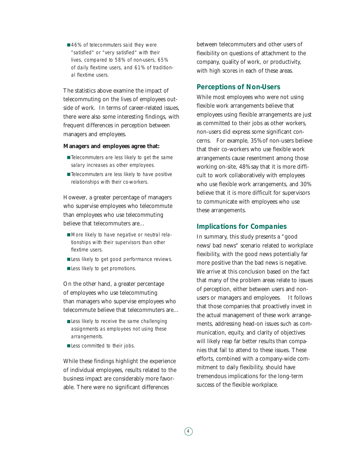■ 46% of telecommuters said they were "satisfied" or "very satisfied" with their lives, compared to 58% of non-users, 65% of daily flextime users, and 61% of traditional flextime users.

The statistics above examine the impact of telecommuting on the lives of employees outside of work. In terms of career-related issues, there were also some interesting findings, with frequent differences in perception between managers and employees.

#### **Managers and employees agree that:**

- Telecommuters are less likely to get the same salary increases as other employees.
- Telecommuters are less likely to have positive relationships with their co-workers.

However, a greater percentage of managers who supervise employees who telecommute than employees who use telecommuting believe that telecommuters are…

- More likely to have negative or neutral relationships with their supervisors than other flextime users.
- Less likely to get good performance reviews.
- Less likely to get promotions.

On the other hand, a greater percentage of employees who use telecommuting than managers who supervise employees who telecommute believe that telecommuters are…

- Less likely to receive the same challenging assignments as employees not using these arrangements.
- Less committed to their jobs.

While these findings highlight the experience of individual employees, results related to the business impact are considerably more favorable. There were no significant differences

between telecommuters and other users of flexibility on questions of attachment to the company, quality of work, or productivity, with high scores in each of these areas.

#### **Perceptions of Non-Users**

While most employees who were not using flexible work arrangements believe that employees using flexible arrangements are just as committed to their jobs as other workers, non-users did express some significant concerns. For example, 35% of non-users believe that their co-workers who use flexible work arrangements cause resentment among those working on-site, 48% say that it is more difficult to work collaboratively with employees who use flexible work arrangements, and 30% believe that it is more difficult for supervisors to communicate with employees who use these arrangements.

#### **Implications for Companies**

In summary, this study presents a "good news/bad news" scenario related to workplace flexibility, with the good news potentially far more positive than the bad news is negative. We arrive at this conclusion based on the fact that many of the problem areas relate to issues of perception, either between users and nonusers or managers and employees. It follows that those companies that proactively invest in the actual management of these work arrangements, addressing head-on issues such as communication, equity, and clarity of objectives will likely reap far better results than companies that fail to attend to these issues. These efforts, combined with a company-wide commitment to daily flexibility, should have tremendous implications for the long-term success of the flexible workplace.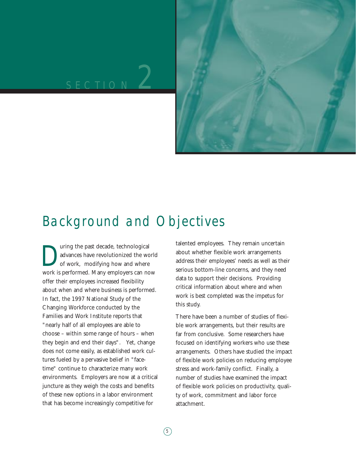# SECTION<sup>2</sup>



### Background and Objectives

The past decade, technological<br>advances have revolutionized the work<br>of work, modifying how and where advances have revolutionized the world of work, modifying how and where work is performed. Many employers can now offer their employees increased flexibility about when and where business is performed. In fact, the 1997 National Study of the Changing Workforce conducted by the Families and Work Institute reports that "nearly half of all employees are able to choose – within some range of hours – when they begin and end their days". Yet, change does not come easily, as established work cultures fueled by a pervasive belief in "facetime" continue to characterize many work environments. Employers are now at a critical juncture as they weigh the costs and benefits of these new options in a labor environment that has become increasingly competitive for

talented employees. They remain uncertain about whether flexible work arrangements address their employees' needs as well as their serious bottom-line concerns, and they need data to support their decisions. Providing critical information about where and when work is best completed was the impetus for this study.

There have been a number of studies of flexible work arrangements, but their results are far from conclusive. Some researchers have focused on identifying workers who use these arrangements. Others have studied the impact of flexible work policies on reducing employee stress and work-family conflict. Finally, a number of studies have examined the impact of flexible work policies on productivity, quality of work, commitment and labor force attachment.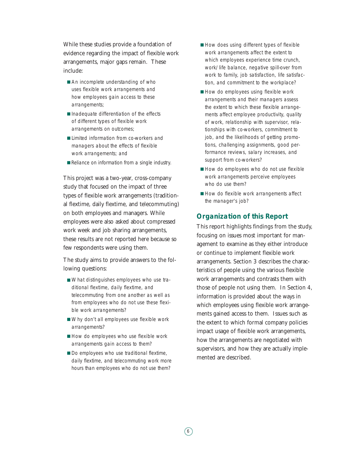While these studies provide a foundation of evidence regarding the impact of flexible work arrangements, major gaps remain. These include:

- An incomplete understanding of who uses flexible work arrangements and how employees gain access to these arrangements;
- Inadequate differentiation of the effects of different types of flexible work arrangements on outcomes;
- Limited information from co-workers and managers about the effects of flexible work arrangements; and
- Reliance on information from a single industry.

This project was a two-year, cross-company study that focused on the impact of three types of flexible work arrangements (traditional flextime, daily flextime, and telecommuting) on both employees and managers. While employees were also asked about compressed work week and job sharing arrangements, these results are not reported here because so few respondents were using them.

The study aims to provide answers to the following questions:

- What distinguishes employees who use traditional flextime, daily flextime, and telecommuting from one another as well as from employees who do not use these flexible work arrangements?
- Why don't all employees use flexible work arrangements?
- How do employees who use flexible work arrangements gain access to them?
- Do employees who use traditional flextime, daily flextime, and telecommuting work more hours than employees who do not use them?
- How does using different types of flexible work arrangements affect the extent to which employees experience time crunch, work/life balance, negative spill-over from work to family, job satisfaction, life satisfaction, and commitment to the workplace?
- How do employees using flexible work arrangements and their managers assess the extent to which these flexible arrangements affect employee productivity, quality of work, relationship with supervisor, relationships with co-workers, commitment to job, and the likelihoods of getting promotions, challenging assignments, good performance reviews, salary increases, and support from co-workers?
- How do employees who do not use flexible work arrangements perceive employees who do use them?
- How do flexible work arrangements affect the manager's job?

#### **Organization of this Report**

This report highlights findings from the study, focusing on issues most important for management to examine as they either introduce or continue to implement flexible work arrangements. Section 3 describes the characteristics of people using the various flexible work arrangements and contrasts them with those of people not using them. In Section 4, information is provided about the ways in which employees using flexible work arrangements gained access to them. Issues such as the extent to which formal company policies impact usage of flexible work arrangements, how the arrangements are negotiated with supervisors, and how they are actually implemented are described.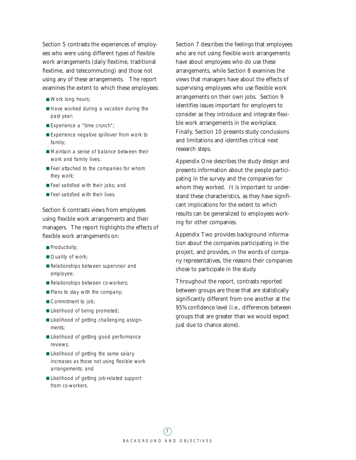Section 5 contrasts the experiences of employees who were using different types of flexible work arrangements (daily flextime, traditional flextime, and telecommuting) and those not using any of these arrangements. The report examines the extent to which these employees:

- Work long hours;
- Have worked during a vacation during the past year;
- Experience a "time crunch";
- Experience negative spillover from work to family;
- Maintain a sense of balance between their work and family lives;
- Feel attached to the companies for whom they work;
- Feel satisfied with their jobs; and
- Feel satisfied with their lives.

Section 6 contrasts views from employees using flexible work arrangements and their managers. The report highlights the effects of flexible work arrangements on:

- Productivity;
- Quality of work;
- Relationships between supervisor and employee;
- Relationships between co-workers;
- Plans to stay with the company;
- Commitment to job;
- Likelihood of being promoted;
- Likelihood of getting challenging assignments;
- Likelihood of getting good performance reviews;
- Likelihood of getting the same salary increases as those not using flexible work arrangements; and
- Likelihood of getting job-related support from co-workers.

Section 7 describes the feelings that employees who are not using flexible work arrangements have about employees who do use these arrangements, while Section 8 examines the views that managers have about the effects of supervising employees who use flexible work arrangements on their own jobs. Section 9 identifies issues important for employers to consider as they introduce and integrate flexible work arrangements in the workplace. Finally, Section 10 presents study conclusions and limitations and identifies critical next research steps.

Appendix One describes the study design and presents information about the people participating in the survey and the companies for whom they worked. It is important to understand these characteristics, as they have significant implications for the extent to which results can be generalized to employees working for other companies.

Appendix Two provides background information about the companies participating in the project, and provides, in the words of company representatives, the reasons their companies chose to participate in the study.

Throughout the report, contrasts reported between groups are those that are statistically significantly different from one another at the 95% confidence level (i.e., differences between groups that are greater than we would expect just due to chance alone).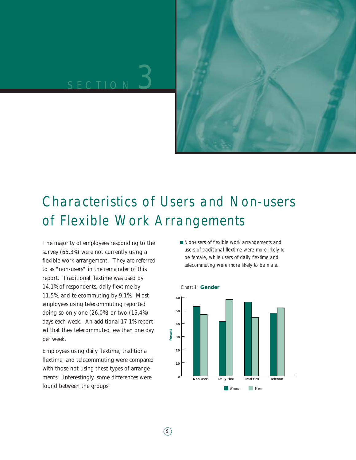

## Characteristics of Users and Non-users of Flexible Work Arrangements

The majority of employees responding to the survey (65.3%) were not currently using a flexible work arrangement. They are referred to as "non-users" in the remainder of this report. Traditional flextime was used by 14.1% of respondents, daily flextime by 11.5%, and telecommuting by 9.1%. Most employees using telecommuting reported doing so only one (26.0%) or two (15.4%) days each week. An additional 17.1% reported that they telecommuted less than one day per week.

Employees using daily flextime, traditional flextime, and telecommuting were compared with those not using these types of arrangements. Interestingly, some differences were found between the groups:

■ Non-users of flexible work arrangements and users of traditional flextime were more likely to be female, while users of daily flextime and telecommuting were more likely to be male.

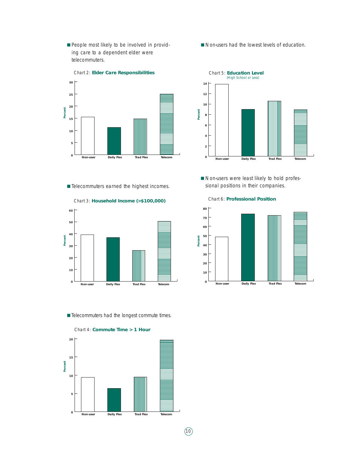■ People most likely to be involved in providing care to a dependent elder were telecommuters.



■ Non-users had the lowest levels of education.



■ Non-users were least likely to hold professional positions in their companies.

■ Telecommuters earned the highest incomes.



Chart 3: **Household Income (>\$100,000)**

■ Telecommuters had the longest commute times.



Chart 6: **Professional Position**



 $(10)$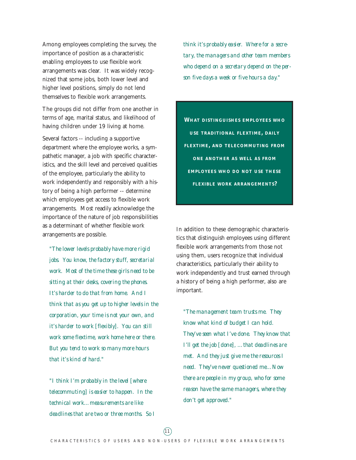Among employees completing the survey, the importance of position as a characteristic enabling employees to use flexible work arrangements was clear. It was widely recognized that some jobs, both lower level and higher level positions, simply do not lend themselves to flexible work arrangements.

The groups did not differ from one another in terms of age, marital status, and likelihood of having children under 19 living at home.

Several factors -- including a supportive department where the employee works, a sympathetic manager, a job with specific characteristics, and the skill level and perceived qualities of the employee, particularly the ability to work independently and responsibly with a history of being a high performer -- determine which employees get access to flexible work arrangements. Most readily acknowledge the importance of the nature of job responsibilities as a determinant of whether flexible work arrangements are possible.

*"The lower levels probably have more rigid jobs. You know, the factory stuff, secretarial work. Most of the time these girls need to be sitting at their desks, covering the phones. It's harder to do that from home. And I think that as you get up to higher levels in the corporation, your time is not your own, and it's harder to work [flexibly]. You can still work some flextime, work home here or there. But you tend to work so many more hours that it's kind of hard."*

*"I think I'm probably in the level [where telecommuting] is easier to happen. In the technical work…measurements are like deadlines that are two or three months. So I* *think it's probably easier. Where for a secretary, the managers and other team members who depend on a secretary depend on the person five days a week or five hours a day."*

**WHAT DISTINGUISHES EMPLOYEES WHO USE TRADITIONAL FLEXTIME, DAILY FLEXTIME, AND TELECOMMUTING FROM ONE ANOTHER AS WELL AS FROM EMPLOYEES WHO DO NOT USE THESE FLEXIBLE WORK ARRANGEMENTS?**

In addition to these demographic characteristics that distinguish employees using different flexible work arrangements from those not using them, users recognize that individual characteristics, particularly their ability to work independently and trust earned through a history of being a high performer, also are important.

*"The management team trusts me. They know what kind of budget I can hold. They've seen what I've done. They know that I'll get the job [done], …that deadlines are met. And they just give me the resources I need. They've never questioned me…Now there are people in my group, who for some reason have the same managers, where they don't get approved."*

 $(11)$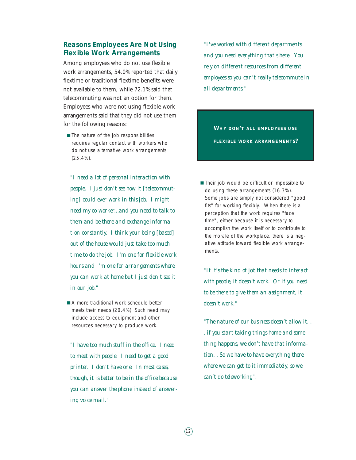#### **Reasons Employees Are Not Using Flexible Work Arrangements**

Among employees who do not use flexible work arrangements, 54.0% reported that daily flextime or traditional flextime benefits were not available to them, while 72.1% said that telecommuting was not an option for them. Employees who were not using flexible work arrangements said that they did not use them for the following reasons:

■ The nature of the job responsibilities requires regular contact with workers who do not use alternative work arrangements (25.4%).

*"I need a lot of personal interaction with people. I just don't see how it [telecommuting] could ever work in this job. I might need my co-worker...and you need to talk to them and be there and exchange information constantly. I think your being [based] out of the house would just take too much time to do the job. I'm one for flexible work hours and I'm one for arrangements where you can work at home but I just don't see it in our job."*

■ A more traditional work schedule better meets their needs (20.4%). Such need may include access to equipment and other resources necessary to produce work.

*"I have too much stuff in the office. I need to meet with people. I need to get a good printer. I don't have one. In most cases, though, it is better to be in the office because you can answer the phone instead of answering voice mail."*

*"I've worked with different departments and you need everything that's here. You rely on different resources from different employees so you can't really telecommute in all departments."*

**WHY DON'T ALL EMPLOYEES USE FLEXIBLE WORK ARRANGEMENTS?**

■ Their job would be difficult or impossible to do using these arrangements (16.3%). Some jobs are simply not considered "good fits" for working flexibly. When there is a perception that the work requires "face time", either because it is necessary to accomplish the work itself or to contribute to the morale of the workplace, there is a negative attitude toward flexible work arrangements.

*"If it's the kind of job that needs to interact with people, it doesn't work. Or if you need to be there to give them an assignment, it doesn't work."*

*"The nature of our business doesn't allow it. . . if you start taking things home and something happens, we don't have that information. . So we have to have everything there where we can get to it immediately, so we can't do teleworking".*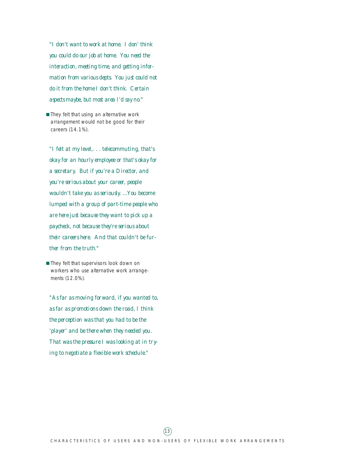*"I don't want to work at home. I don' think you could do our job at home. You need the interaction, meeting time, and getting information from various depts. You just could not do it from the home I don't think. Certain aspects maybe, but most area I'd say no."*

■ They felt that using an alternative work arrangement would not be good for their careers (14.1%).

*"I felt at my level,. . . telecommuting, that's okay for an hourly employee or that's okay for a secretary. But if you're a Director, and you're serious about your career, people wouldn't take you as seriously. ...You become lumped with a group of part-time people who are here just because they want to pick up a paycheck, not because they're serious about their careers here. And that couldn't be further from the truth."*

■ They felt that supervisors look down on workers who use alternative work arrangements (12.0%).

*"As far as moving forward, if you wanted to, as far as promotions down the road, I think the perception was that you had to be the 'player' and be there when they needed you. That was the pressure I was looking at in trying to negotiate a flexible work schedule."*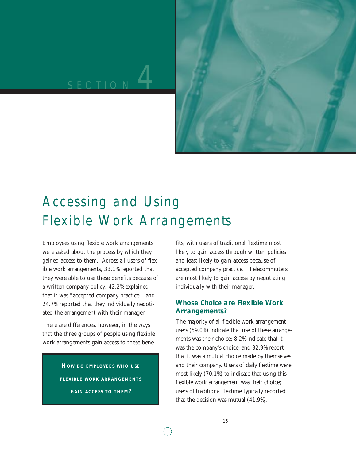# ECTION<sup>1</sup>



## Accessing and Using Flexible Work Arrangements

Employees using flexible work arrangements were asked about the process by which they gained access to them. Across all users of flexible work arrangements, 33.1% reported that they were able to use these benefits because of a written company policy; 42.2% explained that it was "accepted company practice", and 24.7% reported that they individually negotiated the arrangement with their manager.

There are differences, however, in the ways that the three groups of people using flexible work arrangements gain access to these bene-

> **HOW DO EMPLOYEES WHO USE FLEXIBLE WORK ARRANGEMENTS GAIN ACCESS TO THEM?**

fits, with users of traditional flextime most likely to gain access through written policies and least likely to gain access because of accepted company practice. Telecommuters are most likely to gain access by negotiating individually with their manager.

#### **Whose Choice are Flexible Work Arrangements?**

The majority of all flexible work arrangement users (59.0%) indicate that use of these arrangements was their choice; 8.2% indicate that it was the company's choice; and 32.9% report that it was a mutual choice made by themselves and their company. Users of daily flextime were most likely (70.1%) to indicate that using this flexible work arrangement was their choice; users of traditional flextime typically reported that the decision was mutual (41.9%).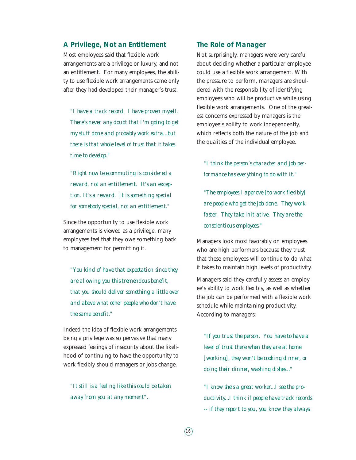#### **A Privilege, Not an Entitlement**

Most employees said that flexible work arrangements are a privilege or luxury, and not an entitlement. For many employees, the ability to use flexible work arrangements came only after they had developed their manager's trust.

*"I have a track record. I have proven myself. There's never any doubt that I'm going to get my stuff done and probably work extra...but there is that whole level of trust that it takes time to develop."* 

*"Right now telecommuting is considered a reward, not an entitlement. It's an exception. It's a reward. It is something special for somebody special, not an entitlement."*

Since the opportunity to use flexible work arrangements is viewed as a privilege, many employees feel that they owe something back to management for permitting it.

*"You kind of have that expectation since they are allowing you this tremendous benefit, that you should deliver something a little over and above what other people who don't have the same benefit."*

Indeed the idea of flexible work arrangements being a privilege was so pervasive that many expressed feelings of insecurity about the likelihood of continuing to have the opportunity to work flexibly should managers or jobs change.

*"It still is a feeling like this could be taken away from you at any moment".*

#### **The Role of Manager**

Not surprisingly, managers were very careful about deciding whether a particular employee could use a flexible work arrangement. With the pressure to perform, managers are shouldered with the responsibility of identifying employees who will be productive while using flexible work arrangements. One of the greatest concerns expressed by managers is the employee's ability to work independently, which reflects both the nature of the job and the qualities of the individual employee.

*"I think the person's character and job performance has everything to do with it."*

*"The employees I approve [to work flexibly] are people who get the job done. They work faster. They take initiative. They are the conscientious employees."*

Managers look most favorably on employees who are high performers because they trust that these employees will continue to do what it takes to maintain high levels of productivity.

Managers said they carefully assess an employee's ability to work flexibly, as well as whether the job can be performed with a flexible work schedule while maintaining productivity. According to managers:

*"If you trust the person. You have to have a level of trust there when they are at home [working], they won't be cooking dinner, or doing their dinner, washing dishes..."*

*"I know she's a great worker...I see the productivity...I think if people have track records -- if they report to you, you know they always*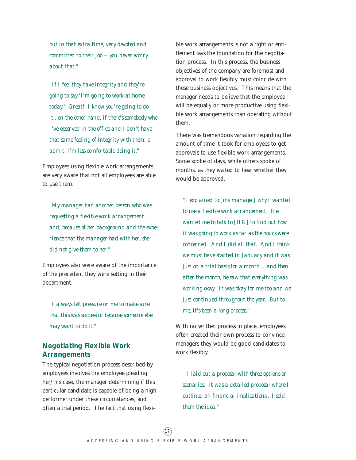*put in that extra time, very devoted and committed to their job -- you never worry about that."*

*"If I feel they have integrity and they're going to say 'I'm going to work at home today.' Great! I know you're going to do it...on the other hand, if there's somebody who I've observed in the office and I don't have that same feeling of integrity with them, p admit, I'm less comfortable doing it."*

Employees using flexible work arrangements are very aware that not all employees are able to use them.

*"My manager had another person who was requesting a flexible work arrangement. . . and, because of her background and the experience that the manager had with her, she did not give them to her."*

Employees also were aware of the importance of the precedent they were setting in their department.

*"I always felt pressure on me to make sure that this was successful because someone else may want to do it."*

#### **Negotiating Flexible Work Arrangements**

The typical negotiation process described by employees involves the employee pleading her/his case, the manager determining if this particular candidate is capable of being a high performer under these circumstances, and often a trial period. The fact that using flexible work arrangements is not a right or entitlement lays the foundation for the negotiation process. In this process, the business objectives of the company are foremost and approval to work flexibly must coincide with these business objectives. This means that the manager needs to believe that the employee will be equally or more productive using flexible work arrangements than operating without them.

There was tremendous variation regarding the amount of time it took for employees to get approvals to use flexible work arrangements. Some spoke of days, while others spoke of months, as they waited to hear whether they would be approved.

*"I explained to [my manager] why I wanted to use a flexible work arrangement. He wanted me to talk to [HR] to find out how it was going to work as far as the hours were concerned. And I did all that. And I think we must have started in January and it was just on a trial basis for a month …and then after the month, he saw that everything was working okay. It was okay for me too and we just continued throughout the year. But to me, it's been a long process."*

With no written process in place, employees often created their own process to convince managers they would be good candidates to work flexibly.

*"I laid out a proposal with three options or scenarios. It was a detailed proposal where I outlined all financial implications…I sold them the idea."*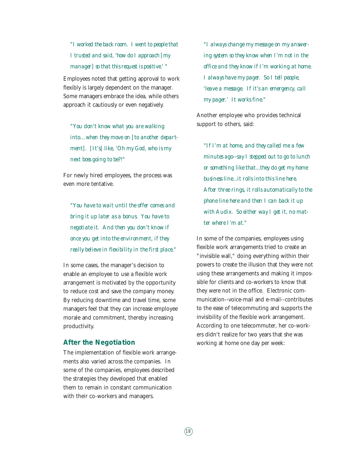*"I worked the back room. I went to people that I trusted and said, 'how do I approach [my manager] so that this request is positive.' "*

Employees noted that getting approval to work flexibly is largely dependent on the manager. Some managers embrace the idea, while others approach it cautiously or even negatively.

*"You don't know what you are walking into…when they move on [to another department]. [It's] like, 'Oh my God, who is my next boss going to be?!"*

For newly hired employees, the process was even more tentative.

*"You have to wait until the offer comes and bring it up later as a bonus. You have to negotiate it. And then you don't know if once you get into the environment, if they really believe in flexibility in the first place."*

In some cases, the manager's decision to enable an employee to use a flexible work arrangement is motivated by the opportunity to reduce cost and save the company money. By reducing downtime and travel time, some managers feel that they can increase employee morale and commitment, thereby increasing productivity.

#### **After the Negotiation**

The implementation of flexible work arrangements also varied across the companies. In some of the companies, employees described the strategies they developed that enabled them to remain in constant communication with their co-workers and managers.

*"I always change my message on my answering system so they know when I'm not in the office and they know if I'm working at home. I always have my pager. So I tell people, 'leave a message. If it's an emergency, call my pager.' It works fine."* 

Another employee who provides technical support to others, said:

*"If I'm at home, and they called me a few minutes ago--say I stepped out to go to lunch or something like that...they do get my home business line...it rolls into this line here. After three rings, it rolls automatically to the phone line here and then I can back it up with Audix. So either way I get it, no matter where I'm at."*

In some of the companies, employees using flexible work arrangements tried to create an "invisible wall," doing everything within their powers to create the illusion that they were not using these arrangements and making it impossible for clients and co-workers to know that they were not in the office. Electronic communication--voice-mail and e-mail--contributes to the ease of telecommuting and supports the invisibility of the flexible work arrangement. According to one telecommuter, her co-workers didn't realize for two years that she was working at home one day per week: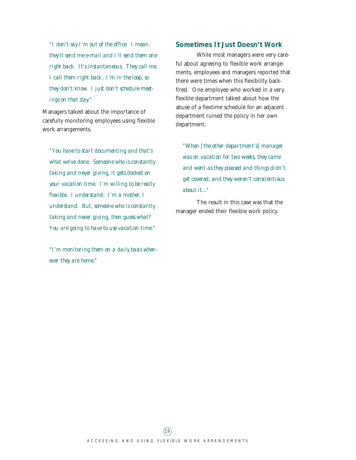*"I don't say I'm out of the office. I mean, they'll send me e-mail and I'll send them one right back. It's instantaneous. They call me. I call them right back.. I'm in the loop, so they don't know. I just don't schedule meetings on that day."*

Managers talked about the importance of carefully monitoring employees using flexible work arrangements.

*"You have to start documenting and that's what we've done. Someone who is constantly taking and never giving, it gets docked on your vacation time. I'm willing to be really flexible. I understand. I'm a mother. I understand. But, someone who is constantly taking and never giving, then guess what? You are going to have to use vacation time."*

*"I'm monitoring them on a daily basis whenever they are home."*

#### **Sometimes It Just Doesn't Work**

While most managers were very careful about agreeing to flexible work arrangements, employees and managers reported that there were times when this flexibility backfired. One employee who worked in a very flexible department talked about how the abuse of a flextime schedule for an adjacent department ruined the policy in her own department.

*"When [the other department's] manager was on vacation for two weeks, they came and went as they pleased and things didn't get covered, and they weren't conscientious about it..."* 

The result in this case was that the manager ended their flexible work policy.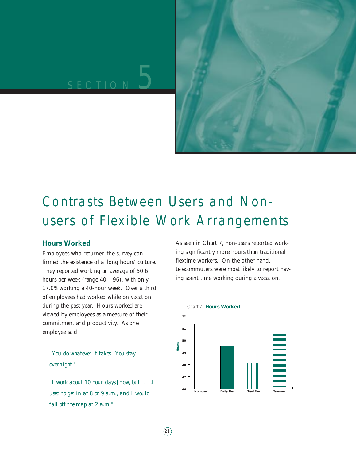# SECTION 5



## Contrasts Between Users and Nonusers of Flexible Work Arrangements

#### **Hours Worked**

Employees who returned the survey confirmed the existence of a 'long hours' culture. They reported working an average of 50.6 hours per week (range 40 – 96), with only 17.0% working a 40-hour week. Over a third of employees had worked while on vacation during the past year. Hours worked are viewed by employees as a measure of their commitment and productivity. As one employee said:

*"You do whatever it takes. You stay overnight."*

*"I work about 10 hour days [now, but] . . .I used to get in at 8 or 9 a.m., and I would fall off the map at 2 a.m."*

As seen in Chart 7, non-users reported working significantly more hours than traditional flextime workers. On the other hand, telecommuters were most likely to report having spent time working during a vacation.

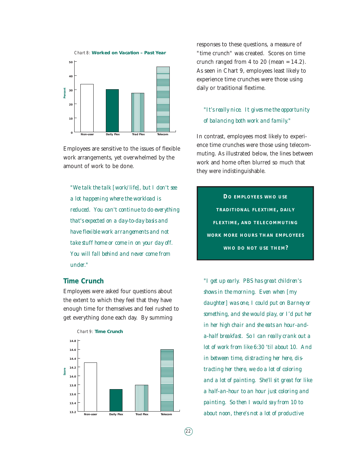



Employees are sensitive to the issues of flexible work arrangements, yet overwhelmed by the amount of work to be done.

*"We talk the talk [work/life], but I don't see a lot happening where the workload is reduced. You can't continue to do everything that's expected on a day-to-day basis and have flexible work arrangements and not take stuff home or come in on your day off. You will fall behind and never come from under."*

#### **Time Crunch**

Employees were asked four questions about the extent to which they feel that they have enough time for themselves and feel rushed to get everything done each day. By summing



responses to these questions, a measure of "time crunch" was created. Scores on time crunch ranged from 4 to 20 (mean  $= 14.2$ ). As seen in Chart 9, employees least likely to experience time crunches were those using daily or traditional flextime.

#### *"It's really nice. It gives me the opportunity of balancing both work and family."*

In contrast, employees most likely to experience time crunches were those using telecommuting. As illustrated below, the lines between work and home often blurred so much that they were indistinguishable.

**DO EMPLOYEES WHO USE TRADITIONAL FLEXTIME, DAILY FLEXTIME, AND TELECOMMUTING WORK MORE HOURS THAN EMPLOYEES WHO DO NOT USE THEM?**

*"I get up early. PBS has great children's shows in the morning. Even when [my daughter] was one, I could put on Barney or something, and she would play, or I'd put her in her high chair and she eats an hour-anda-half breakfast. So I can really crank out a lot of work from like 6:30 'til about 10. And in between time, distracting her here, distracting her there, we do a lot of coloring and a lot of painting. She'll sit great for like a half-an-hour to an hour just coloring and painting. So then I would say from 10 to about noon, there's not a lot of productive*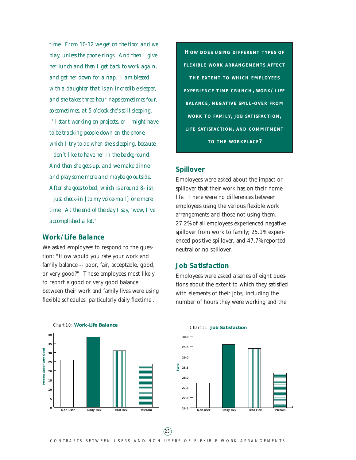*time. From 10-12 we get on the floor and we play, unless the phone rings. And then I give her lunch and then I get back to work again, and get her down for a nap. I am blessed with a daughter that is an incredible sleeper, and she takes three-hour naps sometimes four, so sometimes, at 5 o'clock she's still sleeping. I'll start working on projects, or I might have to be tracking people down on the phone, which I try to do when she's sleeping, because I don't like to have her in the background. And then she gets up, and we make dinner and play some more and maybe go outside. After she goes to bed, which is around 8- ish, I just check-in [to my voice-mail] one more time. At the end of the day I say, 'wow, I've accomplished a lot."*

#### **Work/Life Balance**

We asked employees to respond to the question: "How would you rate your work and family balance -- poor, fair, acceptable, good, or very good?" Those employees most likely to report a good or very good balance between their work and family lives were using flexible schedules, particularly daily flextime .



#### **Spillover**

Employees were asked about the impact or spillover that their work has on their home life. There were no differences between employees using the various flexible work arrangements and those not using them. 27.2% of all employees experienced negative spillover from work to family; 25.1% experienced positive spillover, and 47.7% reported neutral or no spillover.

#### **Job Satisfaction**

Employees were asked a series of eight questions about the extent to which they satisfied with elements of their jobs, including the number of hours they were working and the



#### Chart 10: **Work-Life Balance**

#### **29.5 30.0**

Chart 11: **Job Satisfaction**



**Score**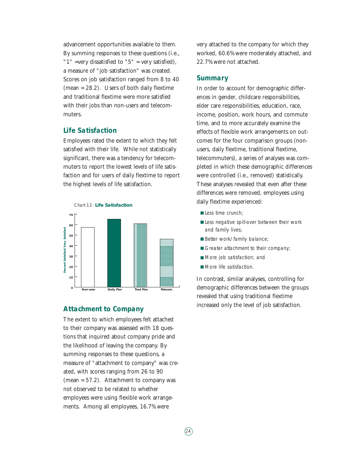advancement opportunities available to them. By summing responses to these questions (i.e., " $1$ " =very dissatisfied to " $5$ " = very satisfied), a measure of "job satisfaction" was created. Scores on job satisfaction ranged from 8 to 40 (mean = 28.2). Users of both daily flextime and traditional flextime were more satisfied with their jobs than non-users and telecommuters.

#### **Life Satisfaction**

Employees rated the extent to which they felt satisfied with their life. While not statistically significant, there was a tendency for telecommuters to report the lowest levels of life satisfaction and for users of daily flextime to report the highest levels of life satisfaction.



#### **Attachment to Company**

The extent to which employees felt attached to their company was assessed with 18 questions that inquired about company pride and the likelihood of leaving the company. By summing responses to these questions, a measure of "attachment to company" was created, with scores ranging from 26 to 90 (mean = 57.2). Attachment to company was not observed to be related to whether employees were using flexible work arrangements. Among all employees, 16.7% were

very attached to the company for which they worked, 60.6% were moderately attached, and 22.7% were not attached.

#### **Summary**

In order to account for demographic differences in gender, childcare responsibilities, elder care responsibilities, education, race, income, position, work hours, and commute time, and to more accurately examine the effects of flexible work arrangements on outcomes for the four comparison groups (nonusers, daily flextime, traditional flextime, telecommuters), a series of analyses was completed in which these demographic differences were controlled (i.e., removed) statistically. These analyses revealed that even after these differences were removed, employees using daily flextime experienced:

- Less time crunch:
- Less negative spill-over between their work and family lives;
- Better work/family balance;
- Greater attachment to their company;
- More job satisfaction; and
- More life satisfaction.

In contrast, similar analyses, controlling for demographic differences between the groups revealed that using traditional flextime increased only the level of job satisfaction.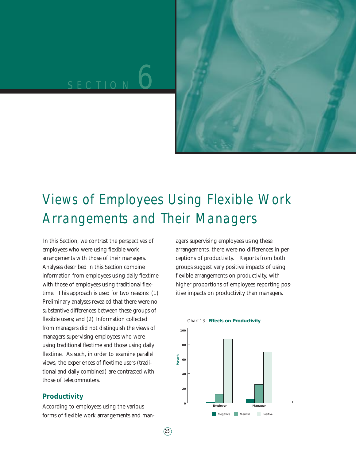# SECTION<sup>6</sup>



## Views of Employees Using Flexible Work Arrangements and Their Managers

In this Section, we contrast the perspectives of employees who were using flexible work arrangements with those of their managers. Analyses described in this Section combine information from employees using daily flextime with those of employees using traditional flextime. This approach is used for two reasons: (1) Preliminary analyses revealed that there were no substantive differences between these groups of flexible users; and (2) Information collected from managers did not distinguish the views of managers supervising employees who were using traditional flextime and those using daily flextime. As such, in order to examine parallel views, the experiences of flextime users (traditional and daily combined) are contrasted with those of telecommuters.

#### **Productivity**

According to employees using the various forms of flexible work arrangements and managers supervising employees using these arrangements, there were no differences in perceptions of productivity. Reports from both groups suggest very positive impacts of using flexible arrangements on productivity, with higher proportions of employees reporting positive impacts on productivity than managers.

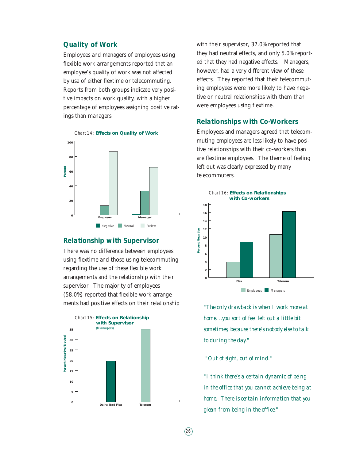#### **Quality of Work**

Employees and managers of employees using flexible work arrangements reported that an employee's quality of work was not affected by use of either flextime or telecommuting. Reports from both groups indicate very positive impacts on work quality, with a higher percentage of employees assigning positive ratings than managers.



#### **Relationship with Supervisor**

There was no difference between employees using flextime and those using telecommuting regarding the use of these flexible work arrangements and the relationship with their supervisor. The majority of employees (58.0%) reported that flexible work arrangements had positive effects on their relationship



with their supervisor, 37.0% reported that they had neutral effects, and only 5.0% reported that they had negative effects. Managers, however, had a very different view of these effects. They reported that their telecommuting employees were more likely to have negative or neutral relationships with them than were employees using flextime.

#### **Relationships with Co-Workers**

Employees and managers agreed that telecommuting employees are less likely to have positive relationships with their co-workers than are flextime employees. The theme of feeling left out was clearly expressed by many telecommuters.



*"The only drawback is when I work more at home. ..you sort of feel left out a little bit sometimes, because there's nobody else to talk to during the day."* 

*"Out of sight, out of mind."*

 $(26)$ 

*"I think there's a certain dynamic of being in the office that you cannot achieve being at home. There is certain information that you glean from being in the office."*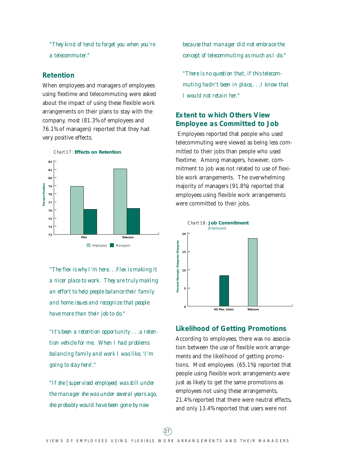*"They kind of tend to forget you when you're a telecommuter."*

#### **Retention**

When employees and managers of employees using flextime and telecommuting were asked about the impact of using these flexible work arrangements on their plans to stay with the company, most (81.3% of employees and 76.1% of managers) reported that they had very positive effects.



*"The flex is why I'm here. . .Flex is making it a nicer place to work. They are truly making an effort to help people balance their family and home issues and recognize that people have more than their job to do."* 

*"It's been a retention opportunity . . .a retention vehicle for me. When I had problems balancing family and work I was like, 'I'm going to stay here'."*

*"If she [supervised employee] was still under the manager she was under several years ago, she probably would have been gone by now*

*because that manager did not embrace the concept of telecommuting as much as I do."*

*"There is no question that, if this telecommuting hadn't been in place,. . .I know that I would not retain her."*

#### **Extent to which Others View Employee as Committed to Job**

Employees reported that people who used telecommuting were viewed as being less committed to their jobs than people who used flextime. Among managers, however, commitment to job was not related to use of flexible work arrangements. The overwhelming majority of managers (91.8%) reported that employees using flexible work arrangements were committed to their jobs.



#### **Likelihood of Getting Promotions**

According to employees, there was no association between the use of flexible work arrangements and the likelihood of getting promotions. Most employees (65.1%) reported that people using flexible work arrangements were just as likely to get the same promotions as employees not using these arrangements, 21.4% reported that there were neutral effects, and only 13.4% reported that users were not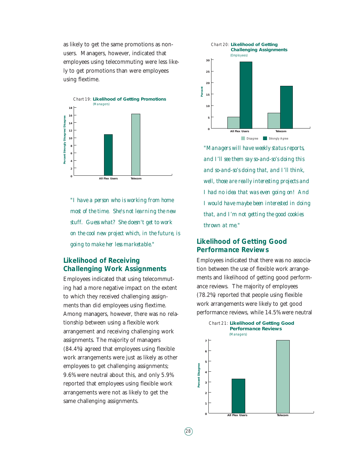as likely to get the same promotions as nonusers. Managers, however, indicated that employees using telecommuting were less likely to get promotions than were employees using flextime.



*"I have a person who is working from home most of the time. She's not learning the new stuff. Guess what? She doesn't get to work on the cool new project which, in the future, is going to make her less marketable."*

#### **Likelihood of Receiving Challenging Work Assignments**

Employees indicated that using telecommuting had a more negative impact on the extent to which they received challenging assignments than did employees using flextime. Among managers, however, there was no relationship between using a flexible work arrangement and receiving challenging work assignments. The majority of managers (84.4%) agreed that employees using flexible work arrangements were just as likely as other employees to get challenging assignments; 9.6% were neutral about this, and only 5.9% reported that employees using flexible work arrangements were not as likely to get the same challenging assignments.



*"Managers will have weekly status reports, and I'll see them say so-and-so's doing this and so-and-so's doing that, and I'll think, well, those are really interesting projects and I had no idea that was even going on! And I would have maybe been interested in doing that, and I'm not getting the good cookies thrown at me."*

#### **Likelihood of Getting Good Performance Reviews**

Employees indicated that there was no association between the use of flexible work arrangements and likelihood of getting good performance reviews. The majority of employees (78.2%) reported that people using flexible work arrangements were likely to get good performance reviews, while 14.5% were neutral



 $(28)$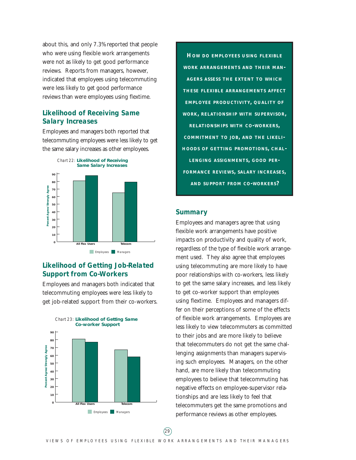about this, and only 7.3% reported that people who were using flexible work arrangements were not as likely to get good performance reviews. Reports from managers, however, indicated that employees using telecommuting were less likely to get good performance reviews than were employees using flextime.

#### **Likelihood of Receiving Same Salary Increases**

Employees and managers both reported that telecommuting employees were less likely to get the same salary increases as other employees.



**Employees** Managers

#### **Likelihood of Getting Job-Related Support from Co-Workers**

Employees and managers both indicated that telecommuting employees were less likely to get job-related support from their co-workers.



**HOW DO EMPLOYEES USING FLEXIBLE WORK ARRANGEMENTS AND THEIR MAN-AGERS ASSESS THE EXTENT TO WHICH THESE FLEXIBLE ARRANGEMENTS AFFECT EMPLOYEE PRODUCTIVITY, QUALITY OF WORK, RELATIONSHIP WITH SUPERVISOR, RELATIONSHIPS WITH CO-WORKERS, COMMITMENT TO JOB, AND THE LIKELI-HOODS OF GETTING PROMOTIONS, CHAL-LENGING ASSIGNMENTS, GOOD PER-FORMANCE REVIEWS, SALARY INCREASES, AND SUPPORT FROM CO-WORKERS?**

#### **Summary**

Employees and managers agree that using flexible work arrangements have positive impacts on productivity and quality of work, regardless of the type of flexible work arrangement used. They also agree that employees using telecommuting are more likely to have poor relationships with co-workers, less likely to get the same salary increases, and less likely to get co-worker support than employees using flextime. Employees and managers differ on their perceptions of some of the effects of flexible work arrangements. Employees are less likely to view telecommuters as committed to their jobs and are more likely to believe that telecommuters do not get the same challenging assignments than managers supervising such employees. Managers, on the other hand, are more likely than telecommuting employees to believe that telecommuting has negative effects on employee-supervisor relationships and are less likely to feel that telecommuters get the same promotions and performance reviews as other employees.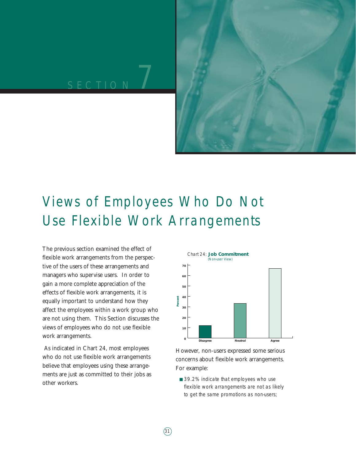# SECTION<sup>7</sup>



## Views of Employees Who Do Not Use Flexible Work Arrangements

The previous section examined the effect of flexible work arrangements from the perspective of the users of these arrangements and managers who supervise users. In order to gain a more complete appreciation of the effects of flexible work arrangements, it is equally important to understand how they affect the employees within a work group who are not using them. This Section discusses the views of employees who do not use flexible work arrangements.

As indicated in Chart 24, most employees who do not use flexible work arrangements believe that employees using these arrangements are just as committed to their jobs as other workers.



However, non-users expressed some serious concerns about flexible work arrangements. For example:

■ 39.2% indicate that employees who use flexible work arrangements are not as likely to get the same promotions as non-users;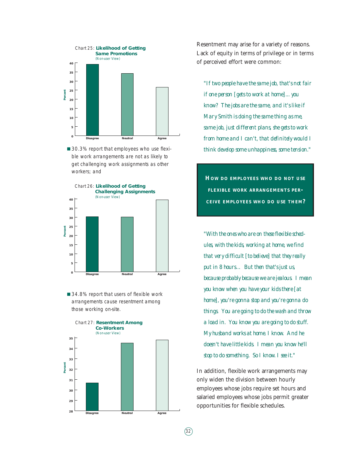

■ 30.3% report that employees who use flexible work arrangements are not as likely to get challenging work assignments as other workers; and



■ 34.8% report that users of flexible work arrangements cause resentment among those working on-site.



Resentment may arise for a variety of reasons. Lack of equity in terms of privilege or in terms of perceived effort were common:

*"If two people have the same job, that's not fair if one person [gets to work at home]... you know? The jobs are the same, and it's like if Mary Smith is doing the same thing as me, same job, just different plans, she gets to work from home and I can't, that definitely would I think develop some unhappiness, some tension."*

**HOW DO EMPLOYEES WHO DO NOT USE FLEXIBLE WORK ARRANGEMENTS PER-CEIVE EMPLOYEES WHO DO USE THEM?**

*"With the ones who are on these flexible schedules, with the kids, working at home, we find that very difficult [to believe] that they really put in 8 hours… But then that's just us, because probably because we are jealous. I mean you know when you have your kids there [at home], you're gonna stop and you're gonna do things. You are going to do the wash and throw a load in. You know you are going to do stuff. My husband works at home. I know. And he doesn't have little kids. I mean you know he'll stop to do something. So I know. I see it."*

In addition, flexible work arrangements may only widen the division between hourly employees whose jobs require set hours and salaried employees whose jobs permit greater opportunities for flexible schedules.

 $(32)$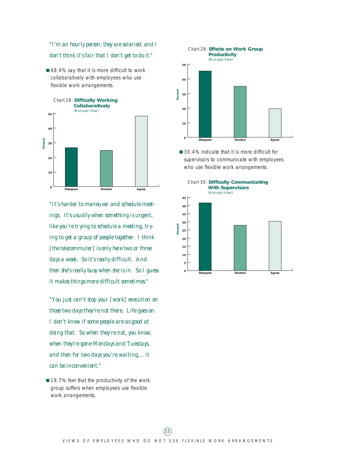*"I'm an hourly person; they are salaried, and I don't think it's fair that I don't get to do it."*

■ 48.4% say that it is more difficult to work collaboratively with employees who use flexible work arrangements.



*"It's harder to maneuver and schedule meetings. It's usually when something is urgent, like you're trying to schedule a meeting, trying to get a group of people together. I think [the telecommuter] is only here two or three days a week. So it's really difficult. And then she's really busy when she is in. So I guess it makes things more difficult sometimes."*

*"You just can't stop your [work] execution on those two days they're not there. Life goes on. I don't know if some people are as good at doing that. So when they're not, you know, when they're gone Mondays and Tuesdays, and then for two days you're waiting,... it can be inconvenient."*

■ 19.7% feel that the productivity of the work group suffers when employees use flexible work arrangements.



■ 30.4% indicate that it is more difficult for supervisors to communicate with employees who use flexible work arrangements.



#### VIEWS OF EMPLOYEES WHO DO NOT USE FLEXIBLE WORK ARRANGEMENTS  $(33)$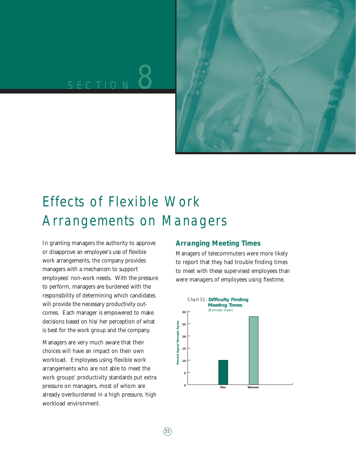# SECTION<sup>8</sup>



## Effects of Flexible Work Arrangements on Managers

In granting managers the authority to approve or disapprove an employee's use of flexible work arrangements, the company provides managers with a mechanism to support employees' non-work needs. With the pressure to perform, managers are burdened with the responsibility of determining which candidates will provide the necessary productivity outcomes. Each manager is empowered to make decisions based on his/her perception of what is best for the work group and the company.

Managers are very much aware that their choices will have an impact on their own workload. Employees using flexible work arrangements who are not able to meet the work groups' productivity standards put extra pressure on managers, most of whom are already overburdened in a high pressure, high workload environment.

#### **Arranging Meeting Times**

Managers of telecommuters were more likely to report that they had trouble finding times to meet with these supervised employees than were managers of employees using flextime.

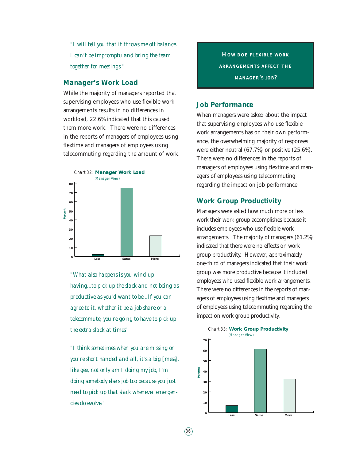*"I will tell you that it throws me off balance. I can't be impromptu and bring the team together for meetings."*

#### **Manager's Work Load**

While the majority of managers reported that supervising employees who use flexible work arrangements results in no differences in workload, 22.6% indicated that this caused them more work. There were no differences in the reports of managers of employees using flextime and managers of employees using telecommuting regarding the amount of work.



*"What also happens is you wind up having...to pick up the slack and not being as productive as you'd want to be...If you can agree to it, whether it be a job share or a telecommute, you're going to have to pick up the extra slack at times"* 

*"I think sometimes when you are missing or you're short handed and all, it's a big [mess], like gee, not only am I doing my job, I'm doing somebody else's job too because you just need to pick up that slack whenever emergencies do evolve."* 

**HOW DOE FLEXIBLE WORK ARRANGEMENTS AFFECT THE MANAGER'S JOB?**

#### **Job Performance**

When managers were asked about the impact that supervising employees who use flexible work arrangements has on their own performance, the overwhelming majority of responses were either neutral (67.7%) or positive (25.6%). There were no differences in the reports of managers of employees using flextime and managers of employees using telecommuting regarding the impact on job performance.

#### **Work Group Productivity**

Managers were asked how much more or less work their work group accomplishes because it includes employees who use flexible work arrangements. The majority of managers (61.2%) indicated that there were no effects on work group productivity. However, approximately one-third of managers indicated that their work group was more productive because it included employees who used flexible work arrangements. There were no differences in the reports of managers of employees using flextime and managers of employees using telecommuting regarding the impact on work group productivity.



 $(36)$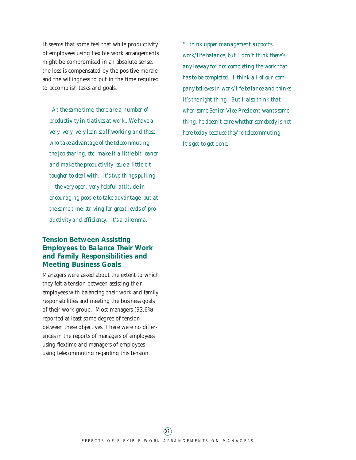It seems that some feel that while productivity of employees using flexible work arrangements might be compromised in an absolute sense, the loss is compensated by the positive morale and the willingness to put in the time required to accomplish tasks and goals.

*"At the same time, there are a number of productivity initiatives at work...We have a very, very, very lean staff working and those who take advantage of the telecommuting, the job sharing, etc. make it a little bit leaner and make the productivity issue a little bit tougher to deal with. It's two things pulling -- the very open, very helpful attitude in encouraging people to take advantage, but at the same time, striving for great levels of productivity and efficiency. It's a dilemma."*

#### **Tension Between Assisting Employees to Balance Their Work and Family Responsibilities and Meeting Business Goals**

Managers were asked about the extent to which they felt a tension between assisting their employees with balancing their work and family responsibilities and meeting the business goals of their work group. Most managers (93.6%) reported at least some degree of tension between these objectives. There were no differences in the reports of managers of employees using flextime and managers of employees using telecommuting regarding this tension.

*"I think upper management supports work/life balance, but I don't think there's any leeway for not completing the work that has to be completed. I think all of our company believes in work/life balance and thinks it's the right thing. But I also think that when some Senior Vice-President wants something, he doesn't care whether somebody is not here today because they're telecommuting. It's got to get done."*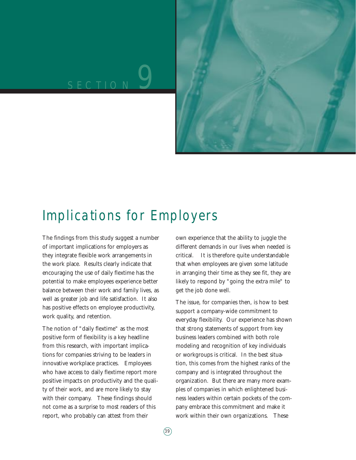# SECTION<sup>9</sup>



### Implications for Employers

The findings from this study suggest a number of important implications for employers as they integrate flexible work arrangements in the work place. Results clearly indicate that encouraging the use of daily flextime has the potential to make employees experience better balance between their work and family lives, as well as greater job and life satisfaction. It also has positive effects on employee productivity, work quality, and retention.

The notion of "daily flextime" as the most positive form of flexibility is a key headline from this research, with important implications for companies striving to be leaders in innovative workplace practices. Employees who have access to daily flextime report more positive impacts on productivity and the quality of their work, and are more likely to stay with their company. These findings should not come as a surprise to most readers of this report, who probably can attest from their

own experience that the ability to juggle the different demands in our lives when needed is critical. It is therefore quite understandable that when employees are given some latitude in arranging their time as they see fit, they are likely to respond by "going the extra mile" to get the job done well.

The issue, for companies then, is how to best support a company-wide commitment to everyday flexibility. Our experience has shown that strong statements of support from key business leaders combined with both role modeling and recognition of key individuals or workgroups is critical. In the best situation, this comes from the highest ranks of the company and is integrated throughout the organization. But there are many more examples of companies in which enlightened business leaders within certain pockets of the company embrace this commitment and make it work within their own organizations. These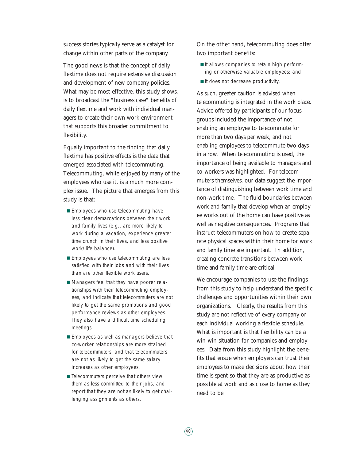success stories typically serve as a catalyst for change within other parts of the company.

The good news is that the concept of daily flextime does not require extensive discussion and development of new company policies. What may be most effective, this study shows, is to broadcast the "business case" benefits of daily flextime and work with individual managers to create their own work environment that supports this broader commitment to flexibility.

Equally important to the finding that daily flextime has positive effects is the data that emerged associated with telecommuting. Telecommuting, while enjoyed by many of the employees who use it, is a much more complex issue. The picture that emerges from this study is that:

- Employees who use telecommuting have less clear demarcations between their work and family lives (e.g., are more likely to work during a vacation, experience greater time crunch in their lives, and less positive work/life balance).
- Employees who use telecommuting are less satisfied with their jobs and with their lives than are other flexible work users.
- Managers feel that they have poorer relationships with their telecommuting employees, and indicate that telecommuters are not likely to get the same promotions and good performance reviews as other employees. They also have a difficult time scheduling meetings.
- Employees as well as managers believe that co-worker relationships are more strained for telecommuters, and that telecommuters are not as likely to get the same salary increases as other employees.
- Telecommuters perceive that others view them as less committed to their jobs, and report that they are not as likely to get challenging assignments as others.

On the other hand, telecommuting does offer two important benefits:

- It allows companies to retain high performing or otherwise valuable employees; and
- It does not decrease productivity.

As such, greater caution is advised when telecommuting is integrated in the work place. Advice offered by participants of our focus groups included the importance of not enabling an employee to telecommute for more than two days per week, and not enabling employees to telecommute two days in a row. When telecommuting is used, the importance of being available to managers and co-workers was highlighted. For telecommuters themselves, our data suggest the importance of distinguishing between work time and non-work time. The fluid boundaries between work and family that develop when an employee works out of the home can have positive as well as negative consequences. Programs that instruct telecommuters on how to create separate physical spaces within their home for work and family time are important. In addition, creating concrete transitions between work time and family time are critical.

We encourage companies to use the findings from this study to help understand the specific challenges and opportunities within their own organizations. Clearly, the results from this study are not reflective of every company or each individual working a flexible schedule. What is important is that flexibility can be a win-win situation for companies and employees. Data from this study highlight the benefits that ensue when employers can trust their employees to make decisions about how their time is spent so that they are as productive as possible at work and as close to home as they need to be.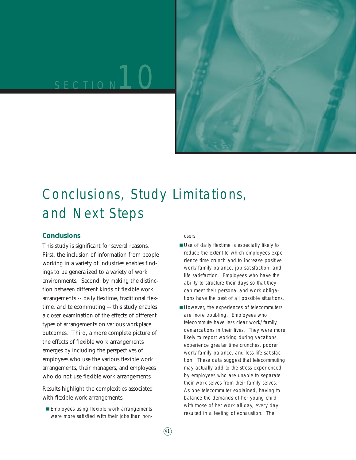# SECTION<sup>10</sup>



## Conclusions, Study Limitations, and Next Steps

#### **Conclusions**

This study is significant for several reasons. First, the inclusion of information from people working in a variety of industries enables findings to be generalized to a variety of work environments. Second, by making the distinction between different kinds of flexible work arrangements -- daily flextime, traditional flextime, and telecommuting -- this study enables a closer examination of the effects of different types of arrangements on various workplace outcomes. Third, a more complete picture of the effects of flexible work arrangements emerges by including the perspectives of employees who use the various flexible work arrangements, their managers, and employees who do not use flexible work arrangements.

Results highlight the complexities associated with flexible work arrangements.

■ Employees using flexible work arrangements were more satisfied with their jobs than nonusers.

- Use of daily flextime is especially likely to reduce the extent to which employees experience time crunch and to increase positive work/family balance, job satisfaction, and life satisfaction. Employees who have the ability to structure their days so that they can meet their personal and work obligations have the best of all possible situations.
- However, the experiences of telecommuters are more troubling. Employees who telecommute have less clear work/family demarcations in their lives. They were more likely to report working during vacations, experience greater time crunches, poorer work/family balance, and less life satisfaction. These data suggest that telecommuting may actually add to the stress experienced by employees who are unable to separate their work selves from their family selves. As one telecommuter explained, having to balance the demands of her young child with those of her work all day, every day resulted in a feeling of exhaustion. The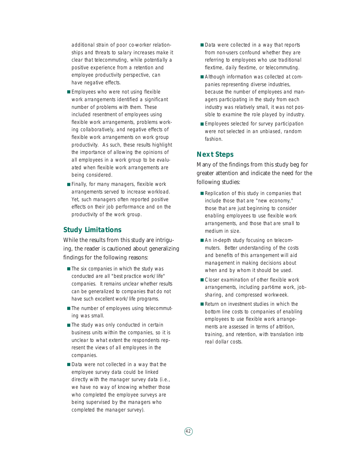additional strain of poor co-worker relationships and threats to salary increases make it clear that telecommuting, while potentially a positive experience from a retention and employee productivity perspective, can have negative effects.

- Employees who were not using flexible work arrangements identified a significant number of problems with them. These included resentment of employees using flexible work arrangements, problems working collaboratively, and negative effects of flexible work arrangements on work group productivity. As such, these results highlight the importance of allowing the opinions of all employees in a work group to be evaluated when flexible work arrangements are being considered.
- Finally, for many managers, flexible work arrangements served to increase workload. Yet, such managers often reported positive effects on their job performance and on the productivity of the work group.

#### **Study Limitations**

While the results from this study are intriguing, the reader is cautioned about generalizing findings for the following reasons:

- The six companies in which the study was conducted are all "best practice work/life" companies. It remains unclear whether results can be generalized to companies that do not have such excellent work/life programs.
- The number of employees using telecommuting was small.
- The study was only conducted in certain business units within the companies, so it is unclear to what extent the respondents represent the views of all employees in the companies.
- Data were not collected in a way that the employee survey data could be linked directly with the manager survey data (i.e., we have no way of knowing whether those who completed the employee surveys are being supervised by the managers who completed the manager survey).
- Data were collected in a way that reports from non-users confound whether they are referring to employees who use traditional flextime, daily flextime, or telecommuting.
- Although information was collected at companies representing diverse industries, because the number of employees and managers participating in the study from each industry was relatively small, it was not possible to examine the role played by industry.
- Employees selected for survey participation were not selected in an unbiased, random fashion.

#### **Next Steps**

Many of the findings from this study beg for greater attention and indicate the need for the following studies:

- Replication of this study in companies that include those that are "new economy," those that are just beginning to consider enabling employees to use flexible work arrangements, and those that are small to medium in size.
- An in-depth study focusing on telecommuters. Better understanding of the costs and benefits of this arrangement will aid management in making decisions about when and by whom it should be used.
- Closer examination of other flexible work arrangements, including part-time work, jobsharing, and compressed workweek.
- Return on investment studies in which the bottom line costs to companies of enabling employees to use flexible work arrangements are assessed in terms of attrition, training, and retention, with translation into real dollar costs.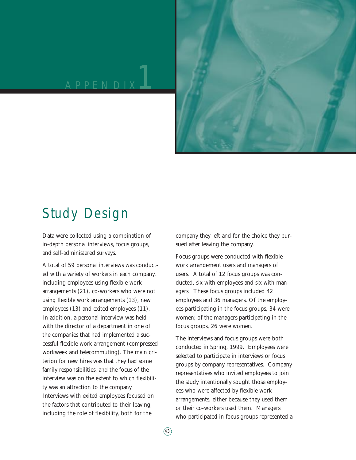

### Study Design

Data were collected using a combination of in-depth personal interviews, focus groups, and self-administered surveys.

A total of 59 personal interviews was conducted with a variety of workers in each company, including employees using flexible work arrangements (21), co-workers who were not using flexible work arrangements (13), new employees (13) and exited employees (11). In addition, a personal interview was held with the director of a department in one of the companies that had implemented a successful flexible work arrangement (compressed workweek and telecommuting). The main criterion for new hires was that they had some family responsibilities, and the focus of the interview was on the extent to which flexibility was an attraction to the company. Interviews with exited employees focused on the factors that contributed to their leaving, including the role of flexibility, both for the

company they left and for the choice they pursued after leaving the company.

Focus groups were conducted with flexible work arrangement users and managers of users. A total of 12 focus groups was conducted, six with employees and six with managers. These focus groups included 42 employees and 36 managers. Of the employees participating in the focus groups, 34 were women; of the managers participating in the focus groups, 26 were women.

The interviews and focus groups were both conducted in Spring, 1999. Employees were selected to participate in interviews or focus groups by company representatives. Company representatives who invited employees to join the study intentionally sought those employees who were affected by flexible work arrangements, either because they used them or their co-workers used them. Managers who participated in focus groups represented a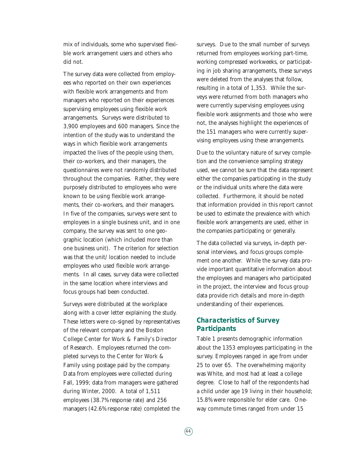mix of individuals, some who supervised flexible work arrangement users and others who did not.

The survey data were collected from employees who reported on their own experiences with flexible work arrangements and from managers who reported on their experiences supervising employees using flexible work arrangements. Surveys were distributed to 3,900 employees and 600 managers. Since the intention of the study was to understand the ways in which flexible work arrangements impacted the lives of the people using them, their co-workers, and their managers, the questionnaires were not randomly distributed throughout the companies. Rather, they were purposely distributed to employees who were known to be using flexible work arrangements, their co-workers, and their managers. In five of the companies, surveys were sent to employees in a single business unit, and in one company, the survey was sent to one geographic location (which included more than one business unit). The criterion for selection was that the unit/location needed to include employees who used flexible work arrangements. In all cases, survey data were collected in the same location where interviews and focus groups had been conducted.

Surveys were distributed at the workplace along with a cover letter explaining the study. These letters were co-signed by representatives of the relevant company and the Boston College Center for Work & Family's Director of Research. Employees returned the completed surveys to the Center for Work & Family using postage paid by the company. Data from employees were collected during Fall, 1999; data from managers were gathered during Winter, 2000. A total of 1,511 employees (38.7% response rate) and 256 managers (42.6% response rate) completed the surveys. Due to the small number of surveys returned from employees working part-time, working compressed workweeks, or participating in job sharing arrangements, these surveys were deleted from the analyses that follow, resulting in a total of 1,353. While the surveys were returned from both managers who were currently supervising employees using flexible work assignments and those who were not, the analyses highlight the experiences of the 151 managers who were currently supervising employees using these arrangements.

Due to the voluntary nature of survey completion and the convenience sampling strategy used, we cannot be sure that the data represent either the companies participating in the study or the individual units where the data were collected. Furthermore, it should be noted that information provided in this report cannot be used to estimate the prevalence with which flexible work arrangements are used, either in the companies participating or generally.

The data collected via surveys, in-depth personal interviews, and focus groups complement one another. While the survey data provide important quantitative information about the employees and managers who participated in the project, the interview and focus group data provide rich details and more in-depth understanding of their experiences.

#### **Characteristics of Survey Participants**

Table 1 presents demographic information about the 1353 employees participating in the survey. Employees ranged in age from under 25 to over 65. The overwhelming majority was White, and most had at least a college degree. Close to half of the respondents had a child under age 19 living in their household; 15.8% were responsible for elder care. Oneway commute times ranged from under 15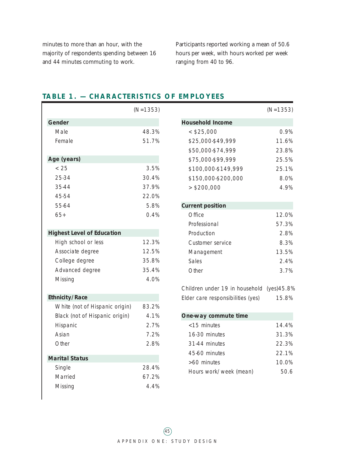minutes to more than an hour, with the majority of respondents spending between 16 and 44 minutes commuting to work.

Participants reported working a mean of 50.6 hours per week, with hours worked per week ranging from 40 to 96.

|                                   | $(N=1353)$ |
|-----------------------------------|------------|
| Gender                            |            |
| Male                              | 48.3%      |
| Female                            | 51.7%      |
| Age (years)                       |            |
| < 25                              | 3.5%       |
| 25-34                             | 30.4%      |
| 35-44                             | 37.9%      |
| 45-54                             | 22.0%      |
| 55-64                             | 5.8%       |
| $65+$                             | 0.4%       |
| <b>Highest Level of Education</b> |            |
| High school or less               | 12.3%      |
| Associate degree                  | 12.5%      |
| College degree                    | 35.8%      |
| Advanced degree                   | 35.4%      |
| Missing                           | 4.0%       |
| <b>Ethnicity/Race</b>             |            |
| White (not of Hispanic origin)    | 83.2%      |
| Black (not of Hispanic origin)    | 4.1%       |
| Hispanic                          | 2.7%       |
| Asian                             | 7.2%       |
| Other                             | 2.8%       |
| <b>Marital Status</b>             |            |
| Single                            | 28.4%      |
| Married                           | 67.2%      |
| Missing                           | 4.4%       |

 $\overline{\phantom{a}}$ 

#### **TABLE 1. — CHARACTERISTICS OF EMPLOYEES**

| $(N=1353)$ |                                            | $(N=1353)$ |
|------------|--------------------------------------------|------------|
|            | <b>Household Income</b>                    |            |
| 48.3%      | $<$ \$25,000                               | 0.9%       |
| 51.7%      | \$25,000-\$49,999                          | 11.6%      |
|            | \$50,000-\$74,999                          | 23.8%      |
|            | \$75,000-\$99,999                          | 25.5%      |
| 3.5%       | \$100,000-\$149,999                        | 25.1%      |
| 30.4%      | \$150,000-\$200,000                        | 8.0%       |
| 37.9%      | > \$200,000                                | 4.9%       |
| 22.0%      |                                            |            |
| 5.8%       | <b>Current position</b>                    |            |
| 0.4%       | Office                                     | 12.0%      |
|            | Professional                               | 57.3%      |
|            | Production                                 | 2.8%       |
| 12.3%      | Customer service                           | 8.3%       |
| 12.5%      | Management                                 | 13.5%      |
| 35.8%      | <b>Sales</b>                               | 2.4%       |
| 35.4%      | Other                                      | 3.7%       |
| 4.0%       |                                            |            |
|            | Children under 19 in household (yes) 45.8% |            |
|            | Elder care responsibilities (yes)          | 15.8%      |
| 83.2%      |                                            |            |
| 4.1%       | One-way commute time                       |            |
| 2.7%       | <15 minutes                                | 14.4%      |
| 7.2%       | 16-30 minutes                              | 31.3%      |
| 2.8%       | 31-44 minutes                              | 22.3%      |
|            | 45-60 minutes                              | 22.1%      |
|            | >60 minutes                                | 10.0%      |

Hours work/week (mean) 50.6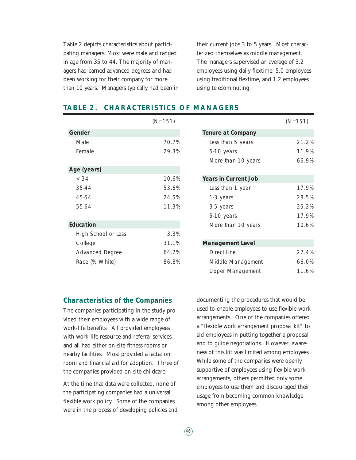Table 2 depicts characteristics about participating managers. Most were male and ranged in age from 35 to 44. The majority of managers had earned advanced degrees and had been working for their company for more than 10 years. Managers typically had been in their current jobs 3 to 5 years. Most characterized themselves as middle management. The managers supervised an average of 3.2 employees using daily flextime, 5.0 employees using traditional flextime, and 1.2 employees using telecommuting.

|                        | $(N=151)$ |                             | $(N=151)$ |
|------------------------|-----------|-----------------------------|-----------|
| <b>Gender</b>          |           | <b>Tenure at Company</b>    |           |
| Male                   | 70.7%     | Less than 5 years           | 21.2%     |
| Female                 | 29.3%     | 5-10 years                  | 11.9%     |
|                        |           | More than 10 years          | 66.9%     |
| Age (years)            |           |                             |           |
| < 34                   | 10.6%     | <b>Years in Current Job</b> |           |
| 35-44                  | 53.6%     | Less than 1 year            | 17.9%     |
| 45-54                  | 24.5%     | 1-3 years                   | 28.5%     |
| 55-64                  | 11.3%     | 3-5 years                   | 25.2%     |
|                        |           | 5-10 years                  | 17.9%     |
| <b>Education</b>       |           | More than 10 years          | 10.6%     |
| High School or Less    | 3.3%      |                             |           |
| College                | 31.1%     | <b>Management Level</b>     |           |
| <b>Advanced Degree</b> | 64.2%     | Direct Line                 | 22.4%     |
| Race (% White)         | 86.8%     | Middle Management           | 66.0%     |
|                        |           | <b>Upper Management</b>     | 11.6%     |

#### **TABLE 2. CHARACTERISTICS OF MANAGERS**

#### **Characteristics of the Companies**

The companies participating in the study provided their employees with a wide range of work-life benefits. All provided employees with work-life resource and referral services, and all had either on-site fitness rooms or nearby facilities. Most provided a lactation room and financial aid for adoption. Three of the companies provided on-site childcare.

At the time that data were collected, none of the participating companies had a universal flexible work policy. Some of the companies were in the process of developing policies and documenting the procedures that would be used to enable employees to use flexible work arrangements. One of the companies offered a "flexible work arrangement proposal kit" to aid employees in putting together a proposal and to guide negotiations. However, awareness of this kit was limited among employees. While some of the companies were openly supportive of employees using flexible work arrangements, others permitted only some employees to use them and discouraged their usage from becoming common knowledge among other employees.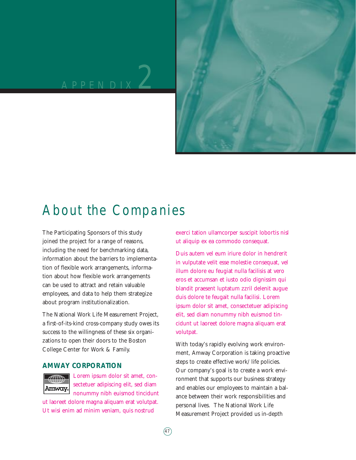### APPENDIX 2



### About the Companies

The Participating Sponsors of this study joined the project for a range of reasons, including the need for benchmarking data, information about the barriers to implementation of flexible work arrangements, information about how flexible work arrangements can be used to attract and retain valuable employees, and data to help them strategize about program institutionalization.

The National Work Life Measurement Project, a first-of-its-kind cross-company study owes its success to the willingness of these six organizations to open their doors to the Boston College Center for Work & Family.

#### **AMWAY CORPORATION**



Lorem ipsum dolor sit amet, consectetuer adipiscing elit, sed diam nonummy nibh euismod tincidunt

ut laoreet dolore magna aliquam erat volutpat. Ut wisi enim ad minim veniam, quis nostrud

exerci tation ullamcorper suscipit lobortis nisl ut aliquip ex ea commodo consequat.

Duis autem vel eum iriure dolor in hendrerit in vulputate velit esse molestie consequat, vel illum dolore eu feugiat nulla facilisis at vero eros et accumsan et iusto odio dignissim qui blandit praesent luptatum zzril delenit augue duis dolore te feugait nulla facilisi. Lorem ipsum dolor sit amet, consectetuer adipiscing elit, sed diam nonummy nibh euismod tincidunt ut laoreet dolore magna aliquam erat volutpat.

With today's rapidly evolving work environment, Amway Corporation is taking proactive steps to create effective work/life policies. Our company's goal is to create a work environment that supports our business strategy and enables our employees to maintain a balance between their work responsibilities and personal lives. The National Work Life Measurement Project provided us in-depth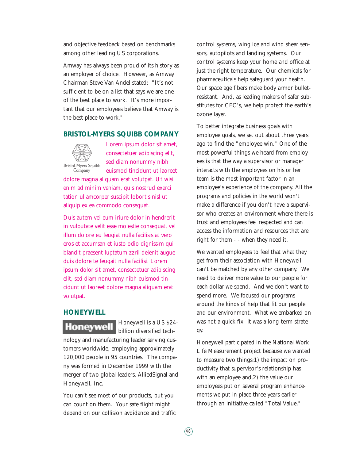and objective feedback based on benchmarks among other leading US corporations.

Amway has always been proud of its history as an employer of choice. However, as Amway Chairman Steve Van Andel stated: "It's not sufficient to be on a list that says we are one of the best place to work. It's more important that our employees believe that Amway is the best place to work."

#### **BRISTOL-MYERS SQUIBB COMPANY**



Lorem ipsum dolor sit amet, consectetuer adipiscing elit, sed diam nonummy nibh euismod tincidunt ut laoreet

dolore magna aliquam erat volutpat. Ut wisi enim ad minim veniam, quis nostrud exerci tation ullamcorper suscipit lobortis nisl ut aliquip ex ea commodo consequat.

Duis autem vel eum iriure dolor in hendrerit in vulputate velit esse molestie consequat, vel illum dolore eu feugiat nulla facilisis at vero eros et accumsan et iusto odio dignissim qui blandit praesent luptatum zzril delenit augue duis dolore te feugait nulla facilisi. Lorem ipsum dolor sit amet, consectetuer adipiscing elit, sed diam nonummy nibh euismod tincidunt ut laoreet dolore magna aliquam erat volutpat.

#### **HONEYWELL**

**Honeywell** 

Honeywell is a US \$24 billion diversified tech-

nology and manufacturing leader serving customers worldwide, employing approximately 120,000 people in 95 countries. The company was formed in December 1999 with the merger of two global leaders, AlliedSignal and Honeywell, Inc.

You can't see most of our products, but you can count on them. Your safe flight might depend on our collision avoidance and traffic

control systems, wing ice and wind shear sensors, autopilots and landing systems. Our control systems keep your home and office at just the right temperature. Our chemicals for pharmaceuticals help safeguard your health. Our space age fibers make body armor bulletresistant. And, as leading makers of safer substitutes for CFC's, we help protect the earth's ozone layer.

To better integrate business goals with employee goals, we set out about three years ago to find the "employee win." One of the most powerful things we heard from employees is that the way a supervisor or manager interacts with the employees on his or her team is the most important factor in an employee's experience of the company. All the programs and policies in the world won't make a difference if you don't have a supervisor who creates an environment where there is trust and employees feel respected and can access the information and resources that are right for them - - when they need it.

We wanted employees to feel that what they get from their association with Honeywell can't be matched by any other company. We need to deliver more value to our people for each dollar we spend. And we don't want to spend more. We focused our programs around the kinds of help that fit our people and our environment. What we embarked on was not a quick fix--it was a long-term strategy.

Honeywell participated in the National Work Life Measurement project because we wanted to measure two things:1) the impact on productivity that supervisor's relationship has with an employee and,2) the value our employees put on several program enhancements we put in place three years earlier through an initiative called "Total Value."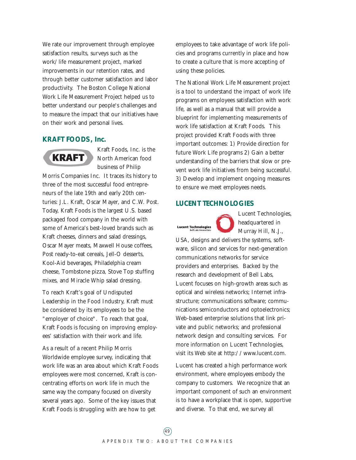We rate our improvement through employee satisfaction results, surveys such as the work/life measurement project, marked improvements in our retention rates, and through better customer satisfaction and labor productivity. The Boston College National Work Life Measurement Project helped us to better understand our people's challenges and to measure the impact that our initiatives have on their work and personal lives.

#### **KRAFT FOODS, Inc.**



Kraft Foods, Inc. is the North American food business of Philip

Morris Companies Inc. It traces its history to three of the most successful food entrepreneurs of the late 19th and early 20th centuries: J.L. Kraft, Oscar Mayer, and C.W. Post. Today, Kraft Foods is the largest U.S. based packaged food company in the world with some of America's best-loved brands such as Kraft cheeses, dinners and salad dressings, Oscar Mayer meats, Maxwell House coffees, Post ready-to-eat cereals, Jell-O desserts, Kool-Aid beverages, Philadelphia cream cheese, Tombstone pizza, Stove Top stuffing mixes, and Miracle Whip salad dressing.

To reach Kraft's goal of Undisputed Leadership in the Food Industry, Kraft must be considered by its employees to be the "employer of choice". To reach that goal, Kraft Foods is focusing on improving employees' satisfaction with their work and life.

As a result of a recent Philip Morris Worldwide employee survey, indicating that work life was an area about which Kraft Foods employees were most concerned, Kraft is concentrating efforts on work life in much the same way the company focused on diversity several years ago. Some of the key issues that Kraft Foods is struggling with are how to get

employees to take advantage of work life policies and programs currently in place and how to create a culture that is more accepting of using these policies.

The National Work Life Measurement project is a tool to understand the impact of work life programs on employees satisfaction with work life, as well as a manual that will provide a blueprint for implementing measurements of work life satisfaction at Kraft Foods. This project provided Kraft Foods with three important outcomes: 1) Provide direction for future Work Life programs 2) Gain a better understanding of the barriers that slow or prevent work life initiatives from being successful. 3) Develop and implement ongoing measures to ensure we meet employees needs.

#### **LUCENT TECHNOLOGIES**

**Lucent Technologies** 

Lucent Technologies, headquartered in Murray Hill, N.J.,

USA, designs and delivers the systems, software, silicon and services for next-generation communications networks for service providers and enterprises. Backed by the research and development of Bell Labs, Lucent focuses on high-growth areas such as optical and wireless networks; Internet infrastructure; communications software; communications semiconductors and optoelectronics; Web-based enterprise solutions that link private and public networks; and professional network design and consulting services. For more information on Lucent Technologies, visit its Web site at http://www.lucent.com.

Lucent has created a high performance work environment, where employees embody the company to customers. We recognize that an important component of such an environment is to have a workplace that is open, supportive and diverse. To that end, we survey all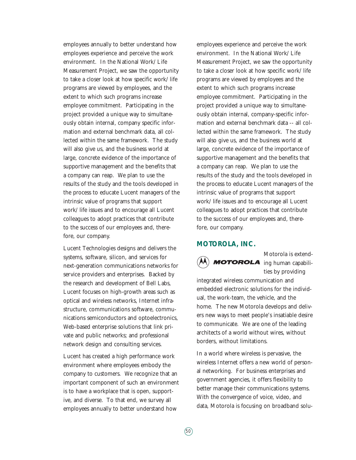employees annually to better understand how employees experience and perceive the work environment. In the National Work/Life Measurement Project, we saw the opportunity to take a closer look at how specific work/life programs are viewed by employees, and the extent to which such programs increase employee commitment. Participating in the project provided a unique way to simultaneously obtain internal, company specific information and external benchmark data, all collected within the same framework. The study will also give us, and the business world at large, concrete evidence of the importance of supportive management and the benefits that a company can reap. We plan to use the results of the study and the tools developed in the process to educate Lucent managers of the intrinsic value of programs that support work/life issues and to encourage all Lucent colleagues to adopt practices that contribute to the success of our employees and, therefore, our company.

Lucent Technologies designs and delivers the systems, software, silicon, and services for next-generation communications networks for service providers and enterprises. Backed by the research and development of Bell Labs, Lucent focuses on high-growth areas such as optical and wireless networks, Internet infrastructure, communications software, communications semiconductors and optoelectronics, Web-based enterprise solutions that link private and public networks; and professional network design and consulting services.

Lucent has created a high performance work environment where employees embody the company to customers. We recognize that an important component of such an environment is to have a workplace that is open, supportive, and diverse. To that end, we survey all employees annually to better understand how

employees experience and perceive the work environment. In the National Work/Life Measurement Project, we saw the opportunity to take a closer look at how specific work/life programs are viewed by employees and the extent to which such programs increase employee commitment. Participating in the project provided a unique way to simultaneously obtain internal, company-specific information and external benchmark data -- all collected within the same framework. The study will also give us, and the business world at large, concrete evidence of the importance of supportive management and the benefits that a company can reap. We plan to use the results of the study and the tools developed in the process to educate Lucent managers of the intrinsic value of programs that support work/life issues and to encourage all Lucent colleagues to adopt practices that contribute to the success of our employees and, therefore, our company.

#### **MOTOROLA, INC .**



Motorola is extend-**MOTOROLA** ing human capabilities by providing

integrated wireless communication and embedded electronic solutions for the individual, the work-team, the vehicle, and the home. The new Motorola develops and delivers new ways to meet people's insatiable desire to communicate. We are one of the leading architects of a world without wires, without borders, without limitations.

In a world where wireless is pervasive, the wireless Internet offers a new world of personal networking. For business enterprises and government agencies, it offers flexibility to better manage their communications systems. With the convergence of voice, video, and data, Motorola is focusing on broadband solu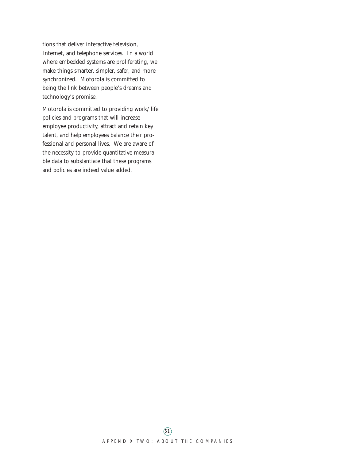tions that deliver interactive television, Internet, and telephone services. In a world where embedded systems are proliferating, we make things smarter, simpler, safer, and more synchronized. Motorola is committed to being the link between people's dreams and technology's promise.

Motorola is committed to providing work/life policies and programs that will increase employee productivity, attract and retain key talent, and help employees balance their professional and personal lives. We are aware of the necessity to provide quantitative measurable data to substantiate that these programs and policies are indeed value added.